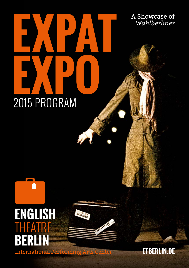# **EXPAT EXPO (1)** 2015 PROGRAM

**ENGLISH**<br>THEATRE B

BERLINER

Ť,

**International** 

**ETBERLIN.DE**

A Showcase of *Wahlberliner*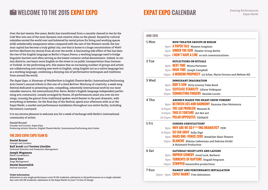# **WELCOME TO THE 2015 EXPAT EXPO**

Over the last twenty-five years, Berlin has transformed from a casualty cleaved in two by the Cold War into one of the most dynamic and creative cities on the planet. Buoyed by cultural subsidies envied the world over and bolstered by rental prices for living and working spaces (still) unbelievably inexpensive when compared with the rest of the Western world, the German capital has become a truly global city, one that is home to a huge concentration of *Wahlberliner* (Berliners by choice) from all over the world. A fascinating side effect of this has been the rise of the English language as Berlin's *lingua franca*, a working language used to bridge linguistic barriers and often serving as the lowest common verbal denominator. Indeed, in certain districts, one hears more English on the street or on public transportation than German or Turkish. In the performing arts, this means that an increasing number of groups and artists are collaborating and creating new work in English, using English not as a native language but as a working language, combining a dizzying mix of performative techniques and traditions from around the world.

*The Expat Expo: A Showcase of Wahlberliner* is English Theatre Berlin | International Performing Arts Center's annual tribute to this one-of-a-kind *Berliner Mischung* of creativity: a week-long festival dedicated to presenting new, compelling, inherently international work by our most valuable resource, the international *freie Szene*, Berlin's English-language independent performing arts community. Loosely arranged by theme, 20 performances await you over six evenings, running the gamut from traditional spoken-word theater to the post-dramatic, with everything in between. On the final day of the festival, spend your afternoon with us at the Expat Markt, a market and performance installation throughout our entire facilty, including the historic courtyard.

It is my sincere pleasure to welcome you for a week of exchange with Berlin's international community of artists.

Daniel Brunet

Founder and Curator, Expat Expo Producing Artistic Director, English Theatre Berlin | International Performing Arts Center

### **THE 2015 EXPAT EXPO TEAM IS:**

**Daniel Brunet** *Concept and Curation*

**Ralf Arndt** and **Torsten Litschko** *Technical Direction and Production Management*

**Joseph Wegmann** *Markt Coordination*

**Jenny Eyer** *Stage Management*

**Daniel Sauermilch** *Festival Assistant*

### **Ticket Information**

Admission to any single performance costs 7€ (5€ students); admission to all performances on a single calendar day costs 15€ (9€ students). Admission to the Expat Markt on June 7 is free of charge.

# **EXPAT EXPO CALENDAR** Evening Performances

| 1 Mon              | <b>NEW THEATER GROUPS IN BERLIN</b>                            |
|--------------------|----------------------------------------------------------------|
|                    | 8pm A PAPER TALE Maayan Jungman                                |
|                    | 9pm <b>UNDER THE GUN</b> Theater Group Berlin                  |
|                    | 10pm <b>I DON'T HAVE A LINE</b> so sick communications         |
| 2 Tue              | <b>REFLECTIONS ON RITUALS</b>                                  |
|                    | 8pm <b>NEXT TIME</b> Minna Partanen                            |
|                    | 9pm <b>HIGH TIME</b> Joseph Campbell                           |
|                    | 10pm A MODERN PROPHECY Liz Erber, Maria Ferrara and Meltem Nil |
|                    |                                                                |
| 3 Wed              | <b>IMMIGRANT IMAGINATION</b>                                   |
|                    | 8pm <b>DIDI'S SON</b> Dirty Granny Tales Band                  |
|                    | 9pm SUITCASE STABILITY Liliana Velásquez                       |
|                    | 10pm <b>CONNECTING FINGERS</b> Daniela Lucato                  |
| 4 Thu              | <b>ABSENCE MAKES THE HEART GROW FONDER?</b>                    |
|                    | 8pm BETWEEN LIES AND HARMONY Kazuma Glen Motomura              |
|                    | 8:45pm <b>THE L&amp;R PROBLEM</b> Manami N.                    |
|                    | 9:45pm <b>THIS IS TORTURE</b> Art Not Art                      |
|                    | 10:15pm POLAR OPPOSITES TiltHAUS                               |
| 5 Fri              | <b>GENDER GENUFLECTION?</b>                                    |
|                    | 8pm WHY ARE WE SO F***ING DRAMATIC? FEM                        |
|                    | 8:30pm SO FAR AWAY Sally Dige                                  |
|                    | 9pm <b>MARS ONE: VENUS ZERO</b> Breakfast Slam Theatre         |
|                    | 10pm <b>BLANCHE</b> Shlomo Lieberman and Sabrina Strehl        |
|                    | A Holzmark Production                                          |
| 6 Sat              | <b>SATURDAY NIGHT LOVE AND LAUGHS</b>                          |
|                    | 8pm <b>IMPROV COMEDY</b> Good Luck, Barbara!                   |
|                    | 9pm <b>TORRENTS OF RAPTURE</b> Dugald Ferguson                 |
|                    | 10pm <b>STRIPPED</b> teamonfire productions                    |
| 7 S <sub>11n</sub> | MARKET AND PERFORMANCE INSTALLATION                            |
|                    | 12pm – 6pm <b>EXPAT MARKT</b> Free Admission                   |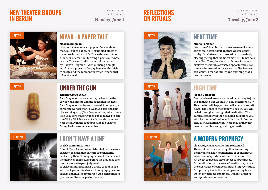# **NEW THEATER GROUPS IN BERLIN**

 2015 EXPAT EXPO Performances

### **REFLECTIONS ON RITUALS Monday, June 1 <b>DN KIIUALS Tuesday, June 2**

 2015 EXPAT EXPO Performances

# 8pm

### **Maayan Iungman**

*Niyar – A Paper Tale* is a puppet theater show made all out of paper. In it, crumpled pieces of paper are brought to life. The artist embarks on a journey of creation, forming a poetic alternate reality. This world within a world is created by Maayan Iungman – without using a single word. Niyar presents the gap between the wish to create and the moment in which inner spirit takes the lead.

### 9pm





### **Theater Group Berlin**

Rich Bray says that as an actor, he has to be the cowboy one minute and the spaceman the next. Rich Bray says that he was once a drill sergeant, a corporate wonder man, a West End star and part of a secret agency (Rich Bray won't say which one.) Rich Bray says that only Iggy Pop is allowed to call him Richy. Rich Bray is not a fictional characterhe is actually in the production, he is a Theater Group Berlin ensemble member.



### **so sick communications**

*I Don't Have A Line* is a multifaceted performance based on the idea that dancers are constantly heckled by their choreographers and teachers and inevitably by themselves before the audience even has the chance to pass judgment.

so sick communications is a group of four artists with backgrounds in dance, choreography, scenography and music composition who collaborate to produce multimedia performances.







### **Minna Partanen**

"Next time" is a phrase that we use to make ourselves feel better about another wasted opportunity. Or a lukewarm consolation to somebody else suggesting that "it didn't matter"? In her solo piece *Next Time*, theater artist Minna Partanen explores the nature of wasted opportunities. Partanen is interested in the space that lies between self-doubt, a fear of failure and anything that's less depressing.

# **HIGH TIME**

### **Joseph Campbell**

Dearly beloved, we are gathered here today to join this man and this woman in holy matrimony. /// This is what will happen: You will come in and sit down. The lights in the room will go out. You will be led through a short guided meditation. The surrealist piece will then be acted out before you, with its themes of union and division, infantile sexuality, addiction, war. There may or may not be much wailing and gnashing of teeth.

# **A MODERN PROPHECY**

### **Liz Erber, Maria Ferrara and Meltem Nil**

Three solo artists weave together an evening of performance, sharing moments of spontaneous vision and inspiration via dance, voice and text. An object or two are also subject to appearance. Our method of performance/creation happens at the crossroads of composition and improvisation. Our primary tool is the moving-sounding body, which conjures up ephemeral images, illusions and spontaneous characters.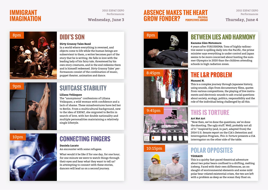# **IMMIGRANT IMAGINATION**

 2015 EXPAT EXPO Performances

### **ABSENCE MAKES THE HEART Wednesday, June 3 GROW FONDER? PERSPECTIVES ABROAD** Thursday, June 4 **POLITICAL PERSPECTIVES ABROAD**

 2015 EXPAT EXPO Performances



### **Dirty Granny Tales Band**

In a world where everything is reversed, and objects come to life while the human beings are subservient to them, a writer becomes part of the story that he is writing. He falls in love with the leading lady of his fairy tale, threatened by his own story creatures, and in the end redeems them and is himself redeemed. Dirty Granny Tales' performances consist of the combination of music, puppet theater, animation and dance.



# **SUITCASE STABILITY**

### **Liliana Velásquez**

The "anonymous" confessions of Liliana Velásquez, a wild woman with confidence and a lack of shame. These misadventures have led her to Berlin. From a multicultural background, new to the idea of EXPAT, she migrated to Berlin in search of love, with her double nationality and multiple personalities maintaining a relatively single lifestyle.



# **CONNECTING FINGERS**

### **Daniela Lucato** An encounter with some refugees.

What would it be like if for one day, for one hour, for one minute we were to watch things through their eyes and hear what they want to tell us? In attempting to connect with these stories, dancers will lead us on a second journey.







### 10:15pm



# **BETWEEN LIES AND HARMONY**

### **Kazuma Glen Motomura**

4 years after FUKUSHIMA: Tons of highly radioactive water is spilling daily into the Pacific, the prime minister says everything is under control and Japan seems to be more concerned about hosting the summer Olympics in 2020 than the children attending schools in high radiation zones.

# **THE L&R PROBLEM**

### **Manami N.**

This is a complex journey through Japanese history, using sounds, clips from documentary films, quotes from various compositions, the playing of live instruments and electronic sounds to ask crucial questions about society, ecology, politics, responsibility and the role of the individual being challenged by all this.

### **Art Not Art**

"Now then, we've done the questions, we've done the shooting. The ugly stuff. Well, probably not all of it." Inspired by (and, in part, adapted from) the 2014 U.S. Senate report on the CIA's Detention and Interrogation Program, *This Is Torture* presents a CIA interrogator on the other side of the table.

# **POLAR OPPOSITES**

### **TiltHAUS**

This is a quirky fast-paced theatrical adventure about two polar bears confined to a drifting, melting iceberg. Faced with their own differences, an onslaught of environmental elements and some mild polar bear-related existential crises, the two are left with a problem as deep as the ocean they float on.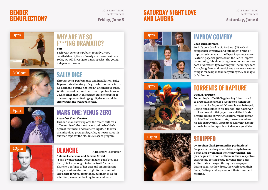# **GENDER GENUFLECTION?**

 2015 EXPAT EXPO Performances

# **SATURDAY NIGHT LOVE Friday, June 5 AND LAUGHS Saturday, June 6**

 2015 EXPAT EXPO Performances



# **F\*\*\*ING DRAMATIC?**

**FEM** Each year, scientists publish roughly 17,000 detailed descriptions of newly discovered animals. Today we will investigate a new species: The young independent woman.

# **SALLY DIGE**

Through song, performance and installation, **Sally Dige** narrates the story of a girl who has had a terrible accident; putting her into an unconscious state. While the world around her tries to get her to wake up, she finds that in this dream state she begins to uncover repressed feelings, guilt, dreams and desires within the world of herself.



10pm

# **MARS ONE: VENUS ZERO**

### **Breakfast Slam Theatre**

This one-man show explores the recent outbreak of "meninism", the most recent online backlash against feminism and women's rights. It follows the misguided protagonist, Mike, as he prepares his audition tape for the MARS ONE space program.

# **BLANCHE**

A Holzmark Production

### **Shlomo Lieberman and Sabrina Strehl**

"I don't want realism. I want magic! I don't tell the truth, I tell what ought to be the truth." - that's Blanche, a refugee of her past and an immigrant to a place where she has to fight for her survival. Her desire for love, acceptance, but most of all for attention, leaves her looking for an audience.







### **Good Luck, Barbara!**

Berlin's own Good Luck, Barbara! (USA/CAN) brings their inventive and intelligent brand of improvised comedy to the Expat Expo once more. Featuring special guests from the Berlin improv community, this show brings together a smorgasbord of different types of improv, including short form, long form and music! And as always, everything is made up in front of your eyes. Like magic. Only funnier.

# **TORRENTS OF RAPTURE**

### **Dugald Ferguson**

Something's off with Reggie's boyfriend. In a fit of protectiveness(?) he's just locked him in the bathroom like Rapunzel. Miserable and betrayed, Reggie finds solace in his friends - the hairdryer, drill, radio and toilet paper – as well the life affirming classic Torrent of Rapture. Wildly romantic, idealized and inaccurate, it seems to mirror his life exactly until it becomes clear that having a movie for a therapist is not always a good idea.

# **STRIPPED**

### by Stephen Clark (teamonfire productions)

*Stripped* is the story of a relationship between a man and a woman in their early thirties. The play begins with both of them, in their respective bathrooms, getting ready for their first date; a blind date arranged through a newspaper dating page. As they dress, they reflect on their fears, feelings and hopes about their imminent meeting.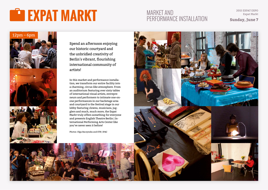# **EXPAT MARKT**

# 2015 EXPAT EXPO MARKET AND Expat Markt PERFORMANCE INSTALLATION

**Sunday, June 7**



Spend an afternoon enjoying our historic courtyard and the unbridled creativity of Berlin's vibrant, flourishing international community of artists!

In this market and performance installation, we transform our entire facility into a charming, circus-like atmosphere. From an auditorium featuring over sixty tables of international visual artists, entrepreneurs and performers to intimate one-onone performances in our backstage area and courtyard to the festival stage in our lobby featuring clowns, musicians, jugglers and much, much more, the Expat Markt truly offers something for everyone and presents English Theatre Berlin | International Performing Arts Center like you've never seen it before!

Photos: Olga Baczynska and ETB | IPAC